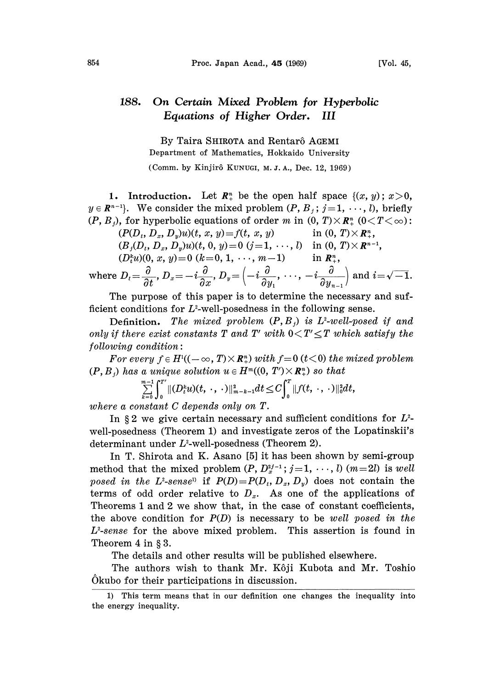## 188. On Certain Mixed Problem for Hyperbolic Equations of Higher Order. III

By Taira SHIROTA and Rentarô AGEMI Department of Mathematics, Hokkaido University (Comm. by Kinjir5 KUNUGI, M. J. A., Dec. 12, 1969)

1. Introduction. Let  $\mathbb{R}^n_+$  be the open half space  $\{(x, y): x > 0,$  $y \in \mathbb{R}^{n-1}$ . We consider the mixed problem  $(P, B_j; j=1, \dots, l)$ , briefly  $(P, B_i)$ , for hyperbolic equations of order m in  $(0, T) \times \mathbb{R}^n$ ,  $(0 \leq T \leq \infty)$ :

$$
(P(D_t, D_x, D_y)u)(t, x, y) = f(t, x, y) \quad \text{in (0, T)×Rn,}(Bj(Dt, Dx, Dy)u)(t, 0, y) = 0 (j=1, ..., l) \quad \text{in (0, T)×Rn-1,}(Dtnu)(0, x, y) = 0 (k=0, 1, ..., m-1) \quad \text{in Rn+,
$$

where 
$$
D_t = \frac{\partial}{\partial t}
$$
,  $D_x = -i\frac{\partial}{\partial x}$ ,  $D_y = \left(-i\frac{\partial}{\partial y_1}, \dots, -i\frac{\partial}{\partial y_{n-1}}\right)$  and  $i = \sqrt{-1}$ .

The purpose of this paper is to determine the necessary and sufficient conditions for  $L^2$ -well-posedness in the following sense.

Definition. The mixed problem  $(P, B_i)$  is L<sup>2</sup>-well-posed if and only if there exist constants T and T' with  $0 < T' \leq T$  which satisfy the  $following condition:$ 

For every  $f \in H^{1}((-\infty, T) \times \mathbb{R}_{+}^{n})$  with  $f=0$  (t<0) the mixed problem  $(P, B_i)$  has a unique solution  $u \in H^m((0, T') \times \mathbb{R}^n)$  so that

$$
\sum_{k=0}^{m-1} \int_0^{T'} \|(D_t^k u)(t, \cdot, \cdot)\|_{m-k-1}^2 dt \leq C \int_0^{T} \|f(t, \cdot, \cdot)\|_0^2 dt,
$$

where a constant C depends only on T.

In  $\S 2$  we give certain necessary and sufficient conditions for  $L^2$ well-posedness (Theorem 1) and investigate zeros of the Lopatinskii's determinant under  $L^2$ -well-posedness (Theorem 2).

In T. Shirota and K. Asano [5] it has been shown by semi-group method that the mixed problem  $(P, D_x^{i-1}; j=1, \dots, l)$   $(m=2l)$  is well posed in the L<sup>2</sup>-sense<sup>1)</sup> if  $P(D)=P(D_t, D_x, D_y)$  does not contain the terms of odd order relative to  $D_x$ . As one of the applications of Theorems <sup>1</sup> and 2 we show that, in the case of constant coefficients, the above condition for  $P(D)$  is necessary to be well posed in the  $L^2$ -sense for the above mixed problem. This assertion is found in Theorem  $4$  in  $\S 3$ .

The details and other results will be published elsewhere.

The authors wish to thank Mr. Kôji Kubota and Mr. Toshio Okubo for their participations in discussion.

<sup>1)</sup> This term means that in our definition one changes the inequality into the energy inequality.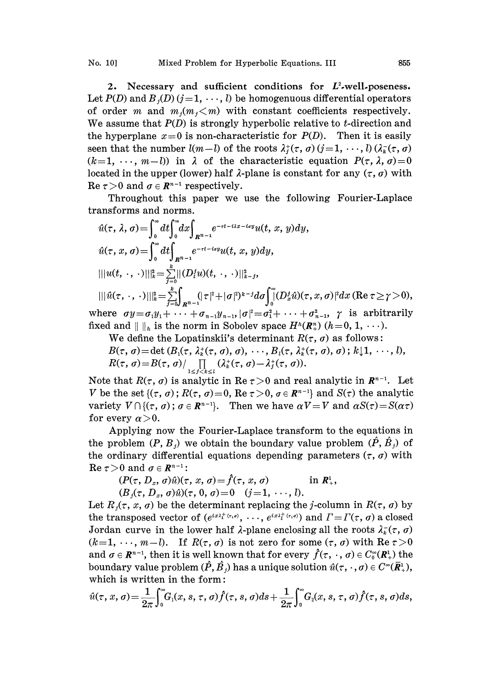2. Necessary and sufficient conditions for  $L^2$ -well-poseness. Let  $P(D)$  and  $B<sub>j</sub>(D)$  (j=1, ..., l) be homogenuous differential operators of order m and  $m_j(m_j < m)$  with constant coefficients respectively. We assume that  $P(D)$  is strongly hyperbolic relative to t-direction and the hyperplane  $x=0$  is non-characteristic for  $P(D)$ . Then it is easily seen that the number  $l(m-l)$  of the roots  $\lambda_i^*(\tau, \sigma)$   $(j=1, \dots, l)$   $(\lambda_k^*(\tau, \sigma))$  $(k=1, \dots, m-l)$  in  $\lambda$  of the characteristic equation  $P(\tau, \lambda, \sigma)=0$ located in the upper (lower) half  $\lambda$ -plane is constant for any  $(\tau, \sigma)$  with Re  $\tau > 0$  and  $\sigma \in \mathbb{R}^{n-1}$  respectively.

 $>$ 0 and  $\sigma \in \mathbb{R}^{n-1}$  respectively.<br>Throughout this paper we use the following Fourier-Laplace transforms and norms.

$$
\hat{u}(\tau,\lambda,\sigma) = \int_0^\infty dt \int_0^\infty dx \int_{R^{n-1}} e^{-\tau t - i\lambda x - i\sigma y} u(t, x, y) dy,
$$
  
\n
$$
\hat{u}(\tau, x, \sigma) = \int_0^\infty dt \int_{R^{n-1}} e^{-\tau t - i\sigma y} u(t, x, y) dy,
$$
  
\n
$$
|||u(t, \cdot, \cdot)|||_{k}^2 = \sum_{j=0}^{k} ||(D_i^j u)(t, \cdot, \cdot)|||_{k-j}^2,
$$
  
\n
$$
|||\hat{u}(\tau, \cdot, \cdot)|||_{k}^2 = \sum_{j=0}^{k} \int_{R^{n-1}} (|\tau|^2 + |\sigma|^2)^{k-j} d\sigma \int_0^\infty (D_x^j \hat{u})(\tau, x, \sigma)|^2 dx \text{ (Re } \tau \ge \gamma > 0),
$$

where  $\sigma y = \sigma_1 y_1 + \cdots + \sigma_{n-1} y_{n-1}$ ,  $|\sigma|^2 = \sigma_1^2 + \cdots + \sigma_{n-1}^2$ ,  $\gamma$  is arbitrarily fixed and  $|| \cdot ||_h$  is the norm in Sobolev space  $H^h(\mathbb{R}^n_+)$   $(h=0, 1, \dots)$ .

We define the Lopatinskii's determinant  $R(\tau, \sigma)$  as follows:

$$
B(\tau, \sigma) = \det (B_1(\tau, \lambda_k^*(\tau, \sigma), \sigma), \cdots, B_l(\tau, \lambda_k^*(\tau, \sigma), \sigma); k \downarrow 1, \cdots, l),
$$
  

$$
R(\tau, \sigma) = B(\tau, \sigma) / \prod_{\substack{m \in \mathbb{N} \\ m \neq j}} (\lambda_k^*(\tau, \sigma) - \lambda_j^*(\tau, \sigma)).
$$

Note that  $R(\tau, \sigma)$  is analytic in Re  $\tau > 0$  and real analytic in  $\mathbb{R}^{n-1}$ . Let V be the set  $\{(\tau, \sigma)\colon R(\tau, \sigma)=0\}$ , Re  $\tau>0$ ,  $\sigma \in \mathbb{R}^{n-1}\}$  and  $S(\tau)$  the analytic variety  $V \cap \{(\tau, \sigma) : \sigma \in \mathbb{R}^{n-1}\}\$ . Then we have  $\alpha V = V$  and  $\alpha S(\tau) = S(\alpha \tau)$ for every  $\alpha > 0$ .

Applying now the Fourier-Laplace transform to the equations in the problem  $(P, B_j)$  we obtain the boundary value problem  $(\hat{P}, \hat{B}_j)$  of the ordinary differential equations depending parameters  $(\tau, \sigma)$  with the ordinary different Re  $\tau > 0$  and  $\sigma \in \mathbb{R}^{n-1}$ :

 $(P(\tau, D_x, \sigma)\hat{u})(\tau, x, \sigma) = \hat{f}(\tau, x, \sigma)$  in  $\mathbb{R}^1_+$ ,  $(B_j(\tau, D_x, \sigma) \hat{u})(\tau, 0, \sigma) = 0 \quad (j=1, \dots, l).$ 

Let  $R_i(\tau, x, \sigma)$  be the determinant replacing the j-column in  $R(\tau, \sigma)$  by the transposed vector of  $(e^{ix\lambda_1^+(\tau,\sigma)}, \dots, e^{ix\lambda_l^+(\tau,\sigma)})$  and  $\Gamma = \Gamma(\tau, \sigma)$  a closed Jordan curve in the lower half  $\lambda$ -plane enclosing all the roots  $\lambda_k^-(\tau, \sigma)$  $(k=1, \dots, m-l)$ . If  $R(\tau, \sigma)$  is not zero for some  $(\tau, \sigma)$  with  $\text{Re } \tau > 0$ and  $\sigma \in \mathbb{R}^{n-1}$ , then it is well known that for every  $\hat{f}(\tau, \cdot, \sigma) \in C_0^{\infty}(\mathbb{R}^1)$  the boundary value problem  $(\hat{P}, \hat{B})$  has a unique solution  $\hat{u}(\tau,\cdot,\sigma) \in C^{\infty}(\bar{R}_{+}^{1}),$ which is written in the form:

$$
\hat{u}(\tau, x, \sigma) = \frac{1}{2\pi} \int_0^{\infty} G_1(x, s, \tau, \sigma) \hat{f}(\tau, s, \sigma) ds + \frac{1}{2\pi} \int_0^{\infty} G_2(x, s, \tau, \sigma) \hat{f}(\tau, s, \sigma) ds,
$$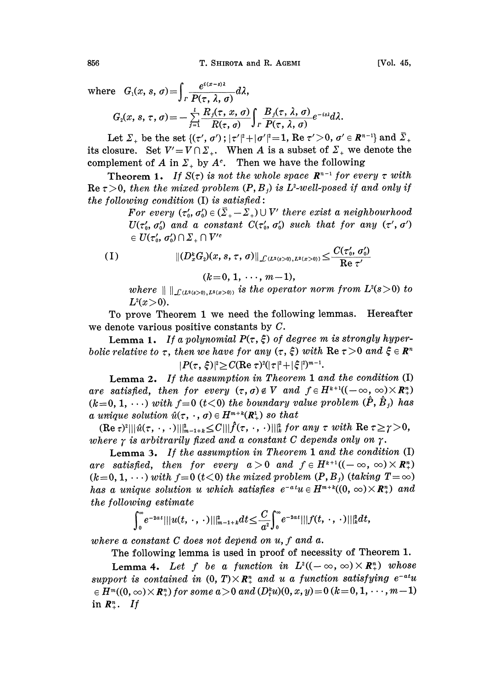where 
$$
G_1(x, s, \sigma) = \int_{\Gamma} \frac{e^{i(x-s)\lambda}}{P(\tau, \lambda, \sigma)} d\lambda
$$
,  
\n $G_2(x, s, \tau, \sigma) = -\sum_{j=1}^{l} \frac{R_j(\tau, x, \sigma)}{R(\tau, \sigma)} \int_{\Gamma} \frac{B_j(\tau, \lambda, \sigma)}{P(\tau, \lambda, \sigma)} e^{-is\lambda} d\lambda$ .

Let  $\Sigma_+$  be the set {( $\tau',\,\sigma'\rangle$  ;  $|\tau'|^2+|\sigma'|^2{=}1.$  Re  $\tau'{>}0,\,\sigma'\in$   $R^{n-1}\}$  and  $\bar\Sigma_+$ its closure. Set  $V' = V \cap \Sigma_+$ . When A is a subset of  $\Sigma_+$  we denote the complement of A in  $\Sigma_{+}$  by  $A^{c}$ . Then we have the following

Theorem 1. If  $S(\tau)$  is not the whole space  $\mathbb{R}^{n-1}$  for every  $\tau$  with Re  $\tau > 0$ , then the mixed problem  $(P, B_i)$  is L<sup>2</sup>-well-posed if and only if the following condition  $(I)$  is satisfied:

> For every  $(\tau_0, \sigma_0') \in (\bar{\Sigma}_+ - \Sigma_+) \cup V'$  there exist a neighbourhood  $U(\tau_0, \sigma_0')$  and a constant  $C(\tau_0', \sigma_0')$  such that for any  $(\tau', \sigma')$  $e \in U(\tau_0', \sigma_0') \cap \Sigma_+ \cap V'^c$

(1) 
$$
\| (D_x^k G_2)(x, s, \tau, \sigma) \|_{\mathcal{L}(L^2(s>0), L^2(x>0))} \leq \frac{C(\tau_0', \sigma_0')}{\text{Re } \tau'}
$$

$$
(k=0, 1, \dots, m-1),
$$

where  $\| \ \|_{\mathcal{L}(L^2({}_{s>0}), L^2({}_{x>0})}$  is the operator norm from  $L^2(s>0)$  to  $L^2(x>0)$ .

To prove Theorem <sup>1</sup> we need the following lemmas. Hereafter we denote various positive constants by C.

Lemma 1. If a polynomial  $P(\tau, \xi)$  of degree m is strongly hyperbolic relative to  $\tau$ , then we have for any  $(\tau, \xi)$  with  $\text{Re } \tau > 0$  and  $\xi \in \mathbb{R}^n$  $|P(\tau, \xi)|^2 \geq C(\text{Re }\tau)^2(|\tau|^2+|\xi|^2)^{m-1}.$ 

Lemma 2. If the assumption in Theorem <sup>1</sup> and the condition (I) are satisfied, then for every  $(\tau, \sigma) \notin V$  and  $f \in H^{k+1}((-\infty, \infty) \times \mathbb{R}_{+}^{n})$  $(k=0, 1, \ldots)$  with  $f=0$  ( $t<0$ ) the boundary value problem  $(\hat{P}, \hat{B})$  has a unique solution  $\hat{u}(\tau, \cdot, \sigma) \in H^{m+k}(\mathbb{R}^1)$  so that

 $(\text{Re } \tau)^2 |||\hat{u}(\tau,\cdot,\cdot)\||_{m-1+k}^2 \leq C |||\hat{f}(\tau,\cdot,\cdot)\||_k^2$  for any  $\tau$  with  $\text{Re } \tau \geq \gamma > 0$ , where  $\gamma$  is arbitrarily fixed and a constant C depends only on  $\gamma$ .

Lemma 3. If the assumption in Theorem <sup>1</sup> and the condition (I) are satisfied, then for every  $a > 0$  and  $f \in H^{k+1}((-\infty, \infty) \times \mathbb{R}_{+}^{n})$  $(k=0, 1, \dots)$  with  $f=0$   $(t<0)$  the mixed problem  $(P, B)$  (taking  $T=\infty$ ) has a unique solution u which satisfies  $e^{-at}u \in H^{m+k}((0, \infty) \times \mathbb{R}^n)$  and the following estimate

$$
\int_0^{\infty} e^{-2at} |||u(t,\cdot,\cdot)||_{m-1+k}^2 dt \leq \frac{C}{a^2} \int_0^{\infty} e^{-2at} |||f(t,\cdot,\cdot)||_{k}^2 dt,
$$

where a constant C does not depend on  $u, f$  and  $a$ .

The following lemma is used in proof of necessity of Theorem 1.

Lemma 4. Let f be a function in  $L^2((-\infty, \infty) \times \mathbb{R}^n)$  whose support is contained in  $(0, T) \times \mathbb{R}^n$  and u a function satisfying  $e^{-at}u$  $e \in H^m((0, \infty) \times \mathbb{R}^n)$  for some  $a > 0$  and  $(D_t^k u)(0, x, y) = 0$   $(k = 0, 1, \dots, m-1)$ in  $\mathbf{R}_{+}^{n}$ . If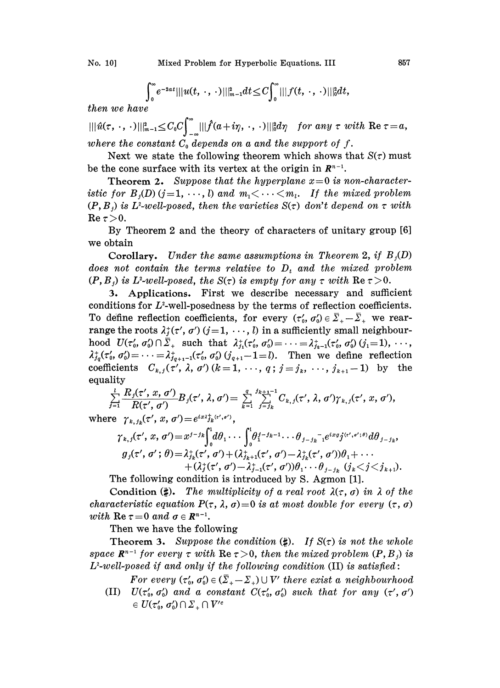$$
\int_0^{\infty} e^{-2at} |||u(t, \cdot, \cdot)|||^2_{m-1} dt \leq C \int_0^{\infty} |||f(t, \cdot, \cdot)|||^2_0 dt,
$$

then we have

 $\| \| \hat u (\tau,\,\cdot,\,\cdot) \|\|_{\mathfrak{m}-1}^2 {\leq} C_0 C \Big\}_{-\infty} \| |\widehat{f} (a+i\eta,\,\cdot,\,\cdot) | |\|^2_0 d\eta \quad for \ any \ \tau \ with \ \ {\rm Re} \$ where the constant  $C_0$  depends on a and the support of f.

Next we state the following theorem which shows that  $S(\tau)$  must be the cone surface with its vertex at the origin in  $\mathbb{R}^{n-1}$ .

**Theorem 2.** Suppose that the hyperplane  $x=0$  is non-characteristic for  $B_i(D)$   $(j=1, \dots, l)$  and  $m_1 < \dots < m_l$ . If the mixed problem  $(P, B_i)$  is L<sup>2</sup>-well-posed, then the varieties  $S(\tau)$  don't depend on  $\tau$  with  $\operatorname{Re}\tau>0.$ 

By Theorem 2 and the theory of characters of unitary group [6] we obtain

**Corollary.** Under the same assumptions in Theorem 2, if  $B_1(D)$ does not contain the terms relative to  $D_t$  and the mixed problem  $(P, B_i)$  is L<sup>2</sup>-well-posed, the  $S(\tau)$  is empty for any  $\tau$  with  $\text{Re}\,\tau > 0$ .

. Applications. First we describe necessary and sufficient conditions for  $L^2$ -well-posedness by the terms of reflection coefficients. To define reflection coefficients, for every  $(\tau_0, \sigma_0) \in \bar{\Sigma}_+ - \bar{\Sigma}_+$  we rearrange the roots  $\lambda_i^*(\tau', \sigma')$   $(j=1, \dots, l)$  in a sufficiently small neighbourhood  $U(\tau_0', \sigma_0') \cap \bar{\Sigma}_+$  such that  $\lambda_{j_1}^+(\tau_0', \sigma_0') = \cdots = \lambda_{j_{q-1}}^+(\tau_0', \sigma_0')$   $(j_1 = 1), \cdots$ ,  $\lambda_{j_q}^{\dagger}(\tau'_0, \sigma'_0) = \cdots = \lambda_{j_{q+1}-1}^{\dagger}(\tau'_0, \sigma'_0)$   $(j_{q+1}-1=l)$ . Then we define reflection coefficients  $C_{k,j}(\tau',\lambda,\sigma')$   $(k=1,\cdots,q; j=j_k,\cdots,j_{k+1}-1)$  by the equality

$$
\sum_{j=1}^l \frac{R_j(\tau',x,\sigma')}{R(\tau',\sigma')}B_j(\tau',\lambda,\sigma') = \sum_{k=1}^q \sum_{j=j_k}^{j_{k+1}-1} C_{k,j}(\tau',\lambda,\sigma')\gamma_{k,j}(\tau',x,\sigma'),
$$

where  $\gamma_{k, j_k}(\tau', x, \sigma') = e^{ix\lambda_{jk}^+(\tau', \sigma')}$ ,

$$
\gamma_{k,j}(\tau', x, \sigma') = x^{j-jk} \int_0^1 d\theta_1 \cdots \int_0^1 \theta_1^{j-jk-1} \cdots \theta_{j-jk}^{-1} e^{ixg} j^{(\tau', \sigma'; \theta)} d\theta_{j-jk},
$$
  
\n
$$
g_j(\tau', \sigma'; \theta) = \lambda_{j_k}^+(\tau', \sigma') + (\lambda_{j_{k+1}}^+(\tau', \sigma') - \lambda_{j_k}^+(\tau', \sigma'))\theta_1 + \cdots + (\lambda_j^+(\tau', \sigma') - \lambda_{j-1}^+(\tau', \sigma'))\theta_1 \cdots \theta_{j-j_k} \quad (j_k < j < j_{k+1}).
$$

The following condition is introduced by S. Agmon [1].

Condition  $(\sharp)$ . The multiplicity of a real root  $\lambda(\tau, \sigma)$  in  $\lambda$  of the Condition (#). The multiplicity of a real root  $\lambda(\tau, \sigma)$  in  $\lambda$  of characteristic equation  $P(\tau, \lambda, \sigma) = 0$  is at most double for every  $(\tau, \text{with Re } \tau = 0 \text{ and } \sigma \in \mathbb{R}^{n-1})$ .

Then we have the following

**Theorem 3.** Suppose the condition  $(\sharp)$ . If  $S(\tau)$  is not the whole space  $\mathbb{R}^{n-1}$  for every  $\tau$  with  $\text{Re}\,\tau > 0$ , then the mixed problem  $(P, B_i)$  is space  $\mathbb{R}^{n-1}$  for every  $\tau$  with  $\text{Re}\ \tau > 0$ , then the mixed problem  $(P, B_j)$ <br>L<sup>2</sup>-well-posed if and only if the following condition (II) is satisfied:

For every  $(\tau'_0, \sigma'_0) \in (\bar{\Sigma}_+ - \Sigma_+) \cup V'$  there exist a neighbourhood<br>
(II)  $U(\tau'_0, \sigma'_0)$  and a constant  $C(\tau'_0, \sigma'_0)$  such that for any  $(\tau', \sigma') \in U(\tau'_0, \sigma'_0) \cap \Sigma_+ \cap V'$